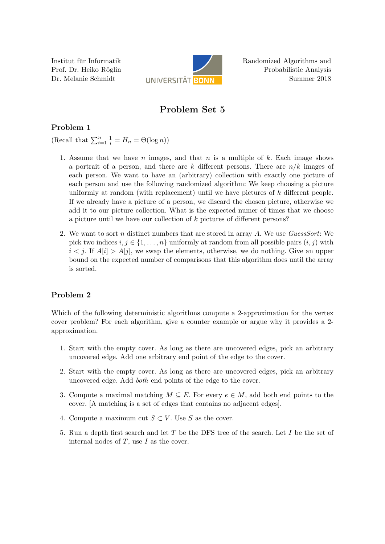Institut für Informatik Prof. Dr. Heiko Röglin Dr. Melanie Schmidt



Randomized Algorithms and Probabilistic Analysis Summer 2018

# Problem Set 5

## Problem 1

(Recall that  $\sum_{i=1}^{n} \frac{1}{i} = H_n = \Theta(\log n)$ )

- 1. Assume that we have n images, and that  $n$  is a multiple of  $k$ . Each image shows a portrait of a person, and there are k different persons. There are  $n/k$  images of each person. We want to have an (arbitrary) collection with exactly one picture of each person and use the following randomized algorithm: We keep choosing a picture uniformly at random (with replacement) until we have pictures of k different people. If we already have a picture of a person, we discard the chosen picture, otherwise we add it to our picture collection. What is the expected numer of times that we choose a picture until we have our collection of k pictures of different persons?
- 2. We want to sort n distinct numbers that are stored in array A. We use  $GussSort$ : We pick two indices  $i, j \in \{1, \ldots, n\}$  uniformly at random from all possible pairs  $(i, j)$  with  $i < j$ . If  $A[i] > A[j]$ , we swap the elements, otherwise, we do nothing. Give an upper bound on the expected number of comparisons that this algorithm does until the array is sorted.

## Problem 2

Which of the following deterministic algorithms compute a 2-approximation for the vertex cover problem? For each algorithm, give a counter example or argue why it provides a 2 approximation.

- 1. Start with the empty cover. As long as there are uncovered edges, pick an arbitrary uncovered edge. Add one arbitrary end point of the edge to the cover.
- 2. Start with the empty cover. As long as there are uncovered edges, pick an arbitrary uncovered edge. Add both end points of the edge to the cover.
- 3. Compute a maximal matching  $M \subseteq E$ . For every  $e \in M$ , add both end points to the cover. [A matching is a set of edges that contains no adjacent edges].
- 4. Compute a maximum cut  $S \subset V$ . Use S as the cover.
- 5. Run a depth first search and let T be the DFS tree of the search. Let I be the set of internal nodes of  $T$ , use  $I$  as the cover.